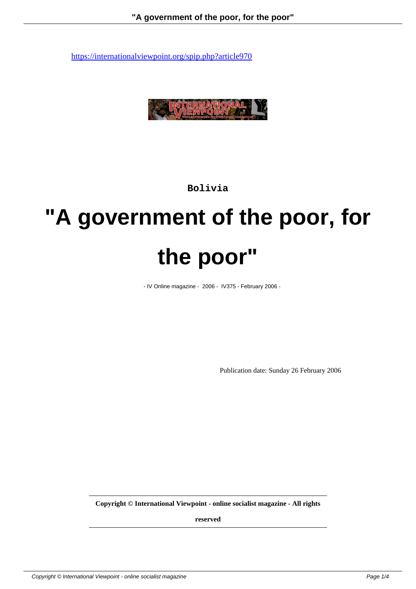

**Bolivia**

# **"A government of the poor, for the poor"**

- IV Online magazine - 2006 - IV375 - February 2006 -

Publication date: Sunday 26 February 2006

**Copyright © International Viewpoint - online socialist magazine - All rights**

**reserved**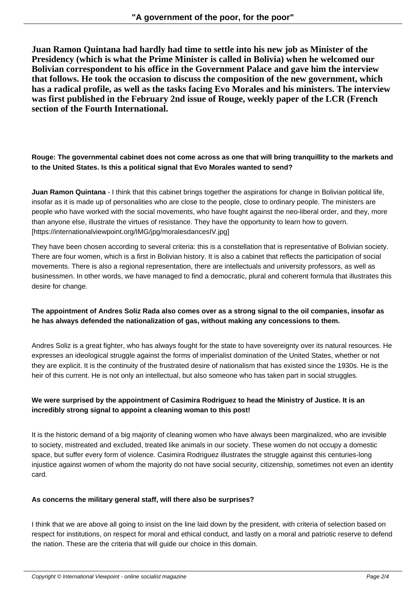**Juan Ramon Quintana had hardly had time to settle into his new job as Minister of the Presidency (which is what the Prime Minister is called in Bolivia) when he welcomed our Bolivian correspondent to his office in the Government Palace and gave him the interview that follows. He took the occasion to discuss the composition of the new government, which has a radical profile, as well as the tasks facing Evo Morales and his ministers. The interview was first published in the February 2nd issue of Rouge, weekly paper of the LCR (French section of the Fourth International.**

# **Rouge: The governmental cabinet does not come across as one that will bring tranquillity to the markets and to the United States. Is this a political signal that Evo Morales wanted to send?**

**Juan Ramon Quintana** - I think that this cabinet brings together the aspirations for change in Bolivian political life, insofar as it is made up of personalities who are close to the people, close to ordinary people. The ministers are people who have worked with the social movements, who have fought against the neo-liberal order, and they, more than anyone else, illustrate the virtues of resistance. They have the opportunity to learn how to govern. [https://internationalviewpoint.org/IMG/jpg/moralesdancesIV.jpg]

They have been chosen according to several criteria: this is a constellation that is representative of Bolivian society. There are four women, which is a first in Bolivian history. It is also a cabinet that reflects the participation of social movements. There is also a regional representation, there are intellectuals and university professors, as well as businessmen. In other words, we have managed to find a democratic, plural and coherent formula that illustrates this desire for change.

# **The appointment of Andres Soliz Rada also comes over as a strong signal to the oil companies, insofar as he has always defended the nationalization of gas, without making any concessions to them.**

Andres Soliz is a great fighter, who has always fought for the state to have sovereignty over its natural resources. He expresses an ideological struggle against the forms of imperialist domination of the United States, whether or not they are explicit. It is the continuity of the frustrated desire of nationalism that has existed since the 1930s. He is the heir of this current. He is not only an intellectual, but also someone who has taken part in social struggles.

# **We were surprised by the appointment of Casimira Rodriguez to head the Ministry of Justice. It is an incredibly strong signal to appoint a cleaning woman to this post!**

It is the historic demand of a big majority of cleaning women who have always been marginalized, who are invisible to society, mistreated and excluded, treated like animals in our society. These women do not occupy a domestic space, but suffer every form of violence. Casimira Rodriguez illustrates the struggle against this centuries-long injustice against women of whom the majority do not have social security, citizenship, sometimes not even an identity card.

### **As concerns the military general staff, will there also be surprises?**

I think that we are above all going to insist on the line laid down by the president, with criteria of selection based on respect for institutions, on respect for moral and ethical conduct, and lastly on a moral and patriotic reserve to defend the nation. These are the criteria that will guide our choice in this domain.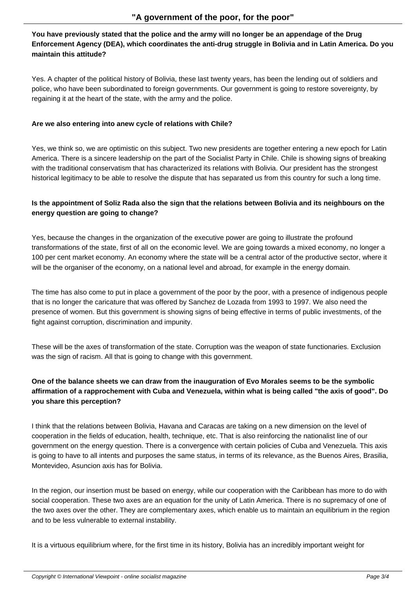#### **You have previously stated that the police and the army will no longer be an appendage of the Drug Enforcement Agency (DEA), which coordinates the anti-drug struggle in Bolivia and in Latin America. Do you maintain this attitude?**

Yes. A chapter of the political history of Bolivia, these last twenty years, has been the lending out of soldiers and police, who have been subordinated to foreign governments. Our government is going to restore sovereignty, by regaining it at the heart of the state, with the army and the police.

#### **Are we also entering into anew cycle of relations with Chile?**

Yes, we think so, we are optimistic on this subject. Two new presidents are together entering a new epoch for Latin America. There is a sincere leadership on the part of the Socialist Party in Chile. Chile is showing signs of breaking with the traditional conservatism that has characterized its relations with Bolivia. Our president has the strongest historical legitimacy to be able to resolve the dispute that has separated us from this country for such a long time.

# **Is the appointment of Soliz Rada also the sign that the relations between Bolivia and its neighbours on the energy question are going to change?**

Yes, because the changes in the organization of the executive power are going to illustrate the profound transformations of the state, first of all on the economic level. We are going towards a mixed economy, no longer a 100 per cent market economy. An economy where the state will be a central actor of the productive sector, where it will be the organiser of the economy, on a national level and abroad, for example in the energy domain.

The time has also come to put in place a government of the poor by the poor, with a presence of indigenous people that is no longer the caricature that was offered by Sanchez de Lozada from 1993 to 1997. We also need the presence of women. But this government is showing signs of being effective in terms of public investments, of the fight against corruption, discrimination and impunity.

These will be the axes of transformation of the state. Corruption was the weapon of state functionaries. Exclusion was the sign of racism. All that is going to change with this government.

# **One of the balance sheets we can draw from the inauguration of Evo Morales seems to be the symbolic affirmation of a rapprochement with Cuba and Venezuela, within what is being called "the axis of good". Do you share this perception?**

I think that the relations between Bolivia, Havana and Caracas are taking on a new dimension on the level of cooperation in the fields of education, health, technique, etc. That is also reinforcing the nationalist line of our government on the energy question. There is a convergence with certain policies of Cuba and Venezuela. This axis is going to have to all intents and purposes the same status, in terms of its relevance, as the Buenos Aires, Brasilia, Montevideo, Asuncion axis has for Bolivia.

In the region, our insertion must be based on energy, while our cooperation with the Caribbean has more to do with social cooperation. These two axes are an equation for the unity of Latin America. There is no supremacy of one of the two axes over the other. They are complementary axes, which enable us to maintain an equilibrium in the region and to be less vulnerable to external instability.

It is a virtuous equilibrium where, for the first time in its history, Bolivia has an incredibly important weight for